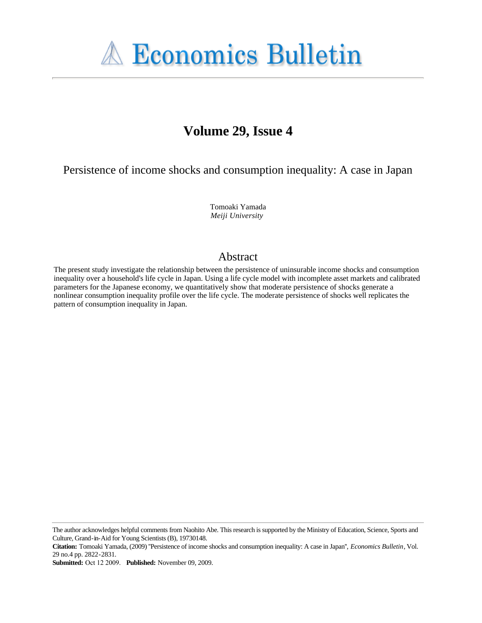

# **Volume 29, Issue 4**

Persistence of income shocks and consumption inequality: A case in Japan

Tomoaki Yamada *Meiji University*

# Abstract

The present study investigate the relationship between the persistence of uninsurable income shocks and consumption inequality over a household's life cycle in Japan. Using a life cycle model with incomplete asset markets and calibrated parameters for the Japanese economy, we quantitatively show that moderate persistence of shocks generate a nonlinear consumption inequality profile over the life cycle. The moderate persistence of shocks well replicates the pattern of consumption inequality in Japan.

**Submitted:** Oct 12 2009. **Published:** November 09, 2009.

The author acknowledges helpful comments from Naohito Abe. This research is supported by the Ministry of Education, Science, Sports and Culture, Grand-in-Aid for Young Scientists (B), 19730148.

**Citation:** Tomoaki Yamada, (2009) ''Persistence of income shocks and consumption inequality: A case in Japan'', *Economics Bulletin*, Vol. 29 no.4 pp. 2822-2831.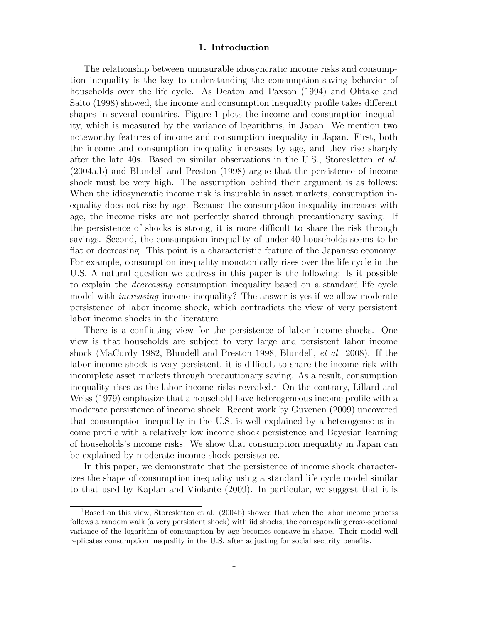#### **1. Introduction**

The relationship between uninsurable idiosyncratic income risks and consumption inequality is the key to understanding the consumption-saving behavior of households over the life cycle. As Deaton and Paxson (1994) and Ohtake and Saito (1998) showed, the income and consumption inequality profile takes different shapes in several countries. Figure 1 plots the income and consumption inequality, which is measured by the variance of logarithms, in Japan. We mention two noteworthy features of income and consumption inequality in Japan. First, both the income and consumption inequality increases by age, and they rise sharply after the late 40s. Based on similar observations in the U.S., Storesletten *et al.* (2004a,b) and Blundell and Preston (1998) argue that the persistence of income shock must be very high. The assumption behind their argument is as follows: When the idiosyncratic income risk is insurable in asset markets, consumption inequality does not rise by age. Because the consumption inequality increases with age, the income risks are not perfectly shared through precautionary saving. If the persistence of shocks is strong, it is more difficult to share the risk through savings. Second, the consumption inequality of under-40 households seems to be flat or decreasing. This point is a characteristic feature of the Japanese economy. For example, consumption inequality monotonically rises over the life cycle in the U.S. A natural question we address in this paper is the following: Is it possible to explain the *decreasing* consumption inequality based on a standard life cycle model with *increasing* income inequality? The answer is yes if we allow moderate persistence of labor income shock, which contradicts the view of very persistent labor income shocks in the literature.

There is a conflicting view for the persistence of labor income shocks. One view is that households are subject to very large and persistent labor income shock (MaCurdy 1982, Blundell and Preston 1998, Blundell, *et al.* 2008). If the labor income shock is very persistent, it is difficult to share the income risk with incomplete asset markets through precautionary saving. As a result, consumption inequality rises as the labor income risks revealed.<sup>1</sup> On the contrary, Lillard and Weiss (1979) emphasize that a household have heterogeneous income profile with a moderate persistence of income shock. Recent work by Guvenen (2009) uncovered that consumption inequality in the U.S. is well explained by a heterogeneous income profile with a relatively low income shock persistence and Bayesian learning of households's income risks. We show that consumption inequality in Japan can be explained by moderate income shock persistence.

In this paper, we demonstrate that the persistence of income shock characterizes the shape of consumption inequality using a standard life cycle model similar to that used by Kaplan and Violante (2009). In particular, we suggest that it is

<sup>&</sup>lt;sup>1</sup>Based on this view, Storesletten et al. (2004b) showed that when the labor income process follows a random walk (a very persistent shock) with iid shocks, the corresponding cross-sectional variance of the logarithm of consumption by age becomes concave in shape. Their model well replicates consumption inequality in the U.S. after adjusting for social security benefits.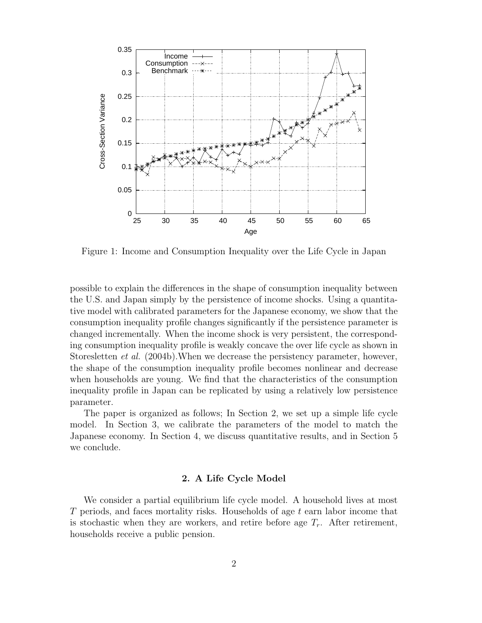

Figure 1: Income and Consumption Inequality over the Life Cycle in Japan

possible to explain the differences in the shape of consumption inequality between the U.S. and Japan simply by the persistence of income shocks. Using a quantitative model with calibrated parameters for the Japanese economy, we show that the consumption inequality profile changes significantly if the persistence parameter is changed incrementally. When the income shock is very persistent, the corresponding consumption inequality profile is weakly concave the over life cycle as shown in Storesletten *et al.* (2004b).When we decrease the persistency parameter, however, the shape of the consumption inequality profile becomes nonlinear and decrease when households are young. We find that the characteristics of the consumption inequality profile in Japan can be replicated by using a relatively low persistence parameter.

The paper is organized as follows; In Section 2, we set up a simple life cycle model. In Section 3, we calibrate the parameters of the model to match the Japanese economy. In Section 4, we discuss quantitative results, and in Section 5 we conclude.

# **2. A Life Cycle Model**

We consider a partial equilibrium life cycle model. A household lives at most T periods, and faces mortality risks. Households of age t earn labor income that is stochastic when they are workers, and retire before age  $T_r$ . After retirement, households receive a public pension.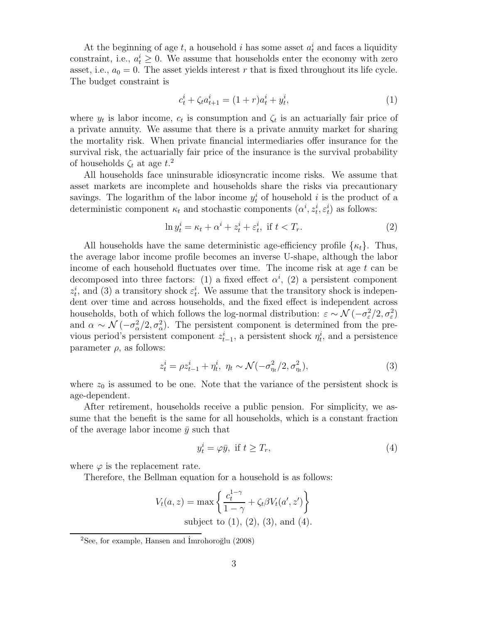At the beginning of age  $t$ , a household  $i$  has some asset  $a_t^i$  and faces a liquidity constraint, i.e.,  $a_t^i \geq 0$ . We assume that households enter the economy with zero asset, i.e.,  $a_0 = 0$ . The asset yields interest r that is fixed throughout its life cycle. The budget constraint is

$$
c_t^i + \zeta_t a_{t+1}^i = (1+r)a_t^i + y_t^i,\tag{1}
$$

where  $y_t$  is labor income,  $c_t$  is consumption and  $\zeta_t$  is an actuarially fair price of a private annuity. We assume that there is a private annuity market for sharing the mortality risk. When private financial intermediaries offer insurance for the survival risk, the actuarially fair price of the insurance is the survival probability of households  $\zeta_t$  at age  $t$ <sup>2</sup>

All households face uninsurable idiosyncratic income risks. We assume that asset markets are incomplete and households share the risks via precautionary savings. The logarithm of the labor income  $y_t^i$  of household i is the product of a deterministic component  $\kappa_t$  and stochastic components  $(\alpha^i, z_t^i, \varepsilon_t^i)$  as follows:

$$
\ln y_t^i = \kappa_t + \alpha^i + z_t^i + \varepsilon_t^i, \text{ if } t < T_r. \tag{2}
$$

All households have the same deterministic age-efficiency profile  $\{\kappa_t\}$ . Thus, the average labor income profile becomes an inverse U-shape, although the labor income of each household fluctuates over time. The income risk at age  $t$  can be decomposed into three factors: (1) a fixed effect  $\alpha^i$ , (2) a persistent component  $z_t^i$ , and (3) a transitory shock  $\varepsilon_t^i$ . We assume that the transitory shock is independent over time and across households, and the fixed effect is independent across households, both of which follows the log-normal distribution:  $\varepsilon \sim \mathcal{N}(-\sigma_{\varepsilon}^2/2, \sigma_{\varepsilon}^2)$ and  $\alpha \sim \mathcal{N}(-\sigma_{\alpha}^2/2, \sigma_{\alpha}^2)$ . The persistent component is determined from the previous period's persistent component  $z_{t-1}^i$ , a persistent shock  $\eta_t^i$ , and a persistence parameter  $\rho$ , as follows:

$$
z_t^i = \rho z_{t-1}^i + \eta_t^i, \ \eta_t \sim \mathcal{N}(-\sigma_{\eta_t}^2/2, \sigma_{\eta_t}^2), \tag{3}
$$

where  $z_0$  is assumed to be one. Note that the variance of the persistent shock is age-dependent.

After retirement, households receive a public pension. For simplicity, we assume that the benefit is the same for all households, which is a constant fraction of the average labor income  $\bar{y}$  such that

$$
y_t^i = \varphi \bar{y}, \text{ if } t \ge T_r,\tag{4}
$$

where  $\varphi$  is the replacement rate.

Therefore, the Bellman equation for a household is as follows:

$$
V_t(a, z) = \max \left\{ \frac{c_t^{1-\gamma}}{1-\gamma} + \zeta_t \beta V_t(a', z') \right\}
$$
  
subject to (1), (2), (3), and (4).

 $2$ See, for example, Hansen and Imrohoroğlu (2008)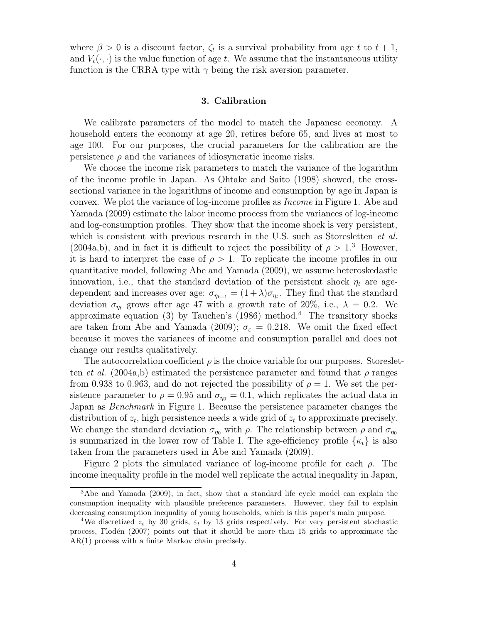where  $\beta > 0$  is a discount factor,  $\zeta_t$  is a survival probability from age t to  $t + 1$ , and  $V_t(\cdot, \cdot)$  is the value function of age t. We assume that the instantaneous utility function is the CRRA type with  $\gamma$  being the risk aversion parameter.

## **3. Calibration**

We calibrate parameters of the model to match the Japanese economy. A household enters the economy at age 20, retires before 65, and lives at most to age 100. For our purposes, the crucial parameters for the calibration are the persistence  $\rho$  and the variances of idiosyncratic income risks.

We choose the income risk parameters to match the variance of the logarithm of the income profile in Japan. As Ohtake and Saito (1998) showed, the crosssectional variance in the logarithms of income and consumption by age in Japan is convex. We plot the variance of log-income profiles as *Income* in Figure 1. Abe and Yamada (2009) estimate the labor income process from the variances of log-income and log-consumption profiles. They show that the income shock is very persistent, which is consistent with previous research in the U.S. such as Storesletten *et al.* (2004a,b), and in fact it is difficult to reject the possibility of  $\rho > 1<sup>3</sup>$  However, it is hard to interpret the case of  $\rho > 1$ . To replicate the income profiles in our quantitative model, following Abe and Yamada (2009), we assume heteroskedastic innovation, i.e., that the standard deviation of the persistent shock  $\eta_t$  are agedependent and increases over age:  $\sigma_{\eta_{t+1}} = (1 + \lambda)\sigma_{\eta_t}$ . They find that the standard deviation  $\sigma_{\eta_t}$  grows after age 47 with a growth rate of 20%, i.e.,  $\lambda = 0.2$ . We approximate equation (3) by Tauchen's (1986) method.<sup>4</sup> The transitory shocks are taken from Abe and Yamada (2009);  $\sigma_{\varepsilon} = 0.218$ . We omit the fixed effect because it moves the variances of income and consumption parallel and does not change our results qualitatively.

The autocorrelation coefficient  $\rho$  is the choice variable for our purposes. Storesletten *et al.* (2004a,b) estimated the persistence parameter and found that  $\rho$  ranges from 0.938 to 0.963, and do not rejected the possibility of  $\rho = 1$ . We set the persistence parameter to  $\rho = 0.95$  and  $\sigma_{\eta_0} = 0.1$ , which replicates the actual data in Japan as *Benchmark* in Figure 1. Because the persistence parameter changes the distribution of  $z_t$ , high persistence needs a wide grid of  $z_t$  to approximate precisely. We change the standard deviation  $\sigma_{\eta_0}$  with  $\rho$ . The relationship between  $\rho$  and  $\sigma_{\eta_0}$ is summarized in the lower row of Table I. The age-efficiency profile  $\{\kappa_t\}$  is also taken from the parameters used in Abe and Yamada (2009).

Figure 2 plots the simulated variance of log-income profile for each  $\rho$ . The income inequality profile in the model well replicate the actual inequality in Japan,

<sup>3</sup>Abe and Yamada (2009), in fact, show that a standard life cycle model can explain the consumption inequality with plausible preference parameters. However, they fail to explain decreasing consumption inequality of young households, which is this paper's main purpose.

<sup>&</sup>lt;sup>4</sup>We discretized  $z_t$  by 30 grids,  $\varepsilon_t$  by 13 grids respectively. For very persistent stochastic process, Flod´en (2007) points out that it should be more than 15 grids to approximate the AR(1) process with a finite Markov chain precisely.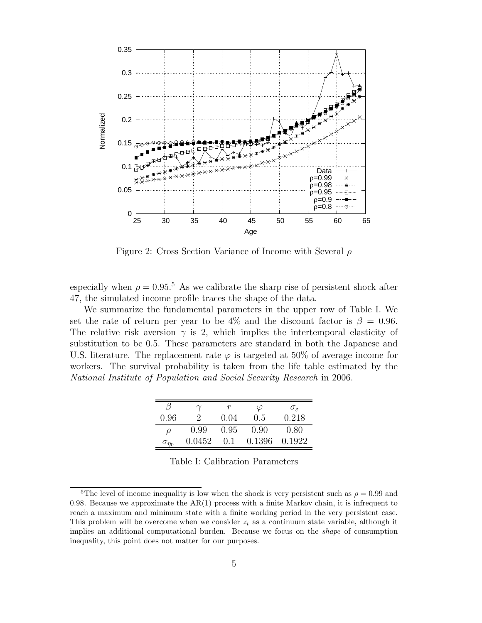

Figure 2: Cross Section Variance of Income with Several ρ

especially when  $\rho = 0.95$ .<sup>5</sup> As we calibrate the sharp rise of persistent shock after 47, the simulated income profile traces the shape of the data.

We summarize the fundamental parameters in the upper row of Table I. We set the rate of return per year to be 4% and the discount factor is  $\beta = 0.96$ . The relative risk aversion  $\gamma$  is 2, which implies the intertemporal elasticity of substitution to be 0.5. These parameters are standard in both the Japanese and U.S. literature. The replacement rate  $\varphi$  is targeted at 50% of average income for workers. The survival probability is taken from the life table estimated by the *National Institute of Population and Social Security Research* in 2006.

|                   |        |        | $\varphi$ | $\sigma_{\varepsilon}$ |
|-------------------|--------|--------|-----------|------------------------|
| $0.96\,$          | ٠,     | (1.04) | 0.5       | 0.218                  |
| ρ                 | 0.99   | 0.95   | 0.90      | 0.80                   |
| $\sigma_{\eta_0}$ | 0.0452 | 0.1    | 0.1396    | 0.1922                 |

Table I: Calibration Parameters

<sup>&</sup>lt;sup>5</sup>The level of income inequality is low when the shock is very persistent such as  $\rho = 0.99$  and 0.98. Because we approximate the  $AR(1)$  process with a finite Markov chain, it is infrequent to reach a maximum and minimum state with a finite working period in the very persistent case. This problem will be overcome when we consider  $z_t$  as a continuum state variable, although it implies an additional computational burden. Because we focus on the *shape* of consumption inequality, this point does not matter for our purposes.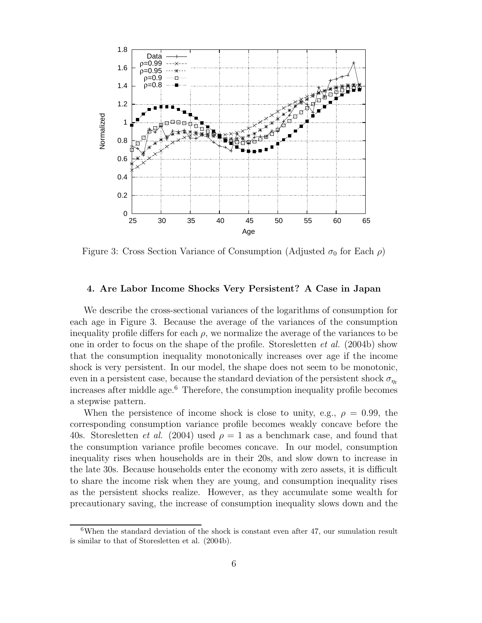

Figure 3: Cross Section Variance of Consumption (Adjusted  $\sigma_0$  for Each  $\rho$ )

## **4. Are Labor Income Shocks Very Persistent? A Case in Japan**

We describe the cross-sectional variances of the logarithms of consumption for each age in Figure 3. Because the average of the variances of the consumption inequality profile differs for each  $\rho$ , we normalize the average of the variances to be one in order to focus on the shape of the profile. Storesletten *et al.* (2004b) show that the consumption inequality monotonically increases over age if the income shock is very persistent. In our model, the shape does not seem to be monotonic, even in a persistent case, because the standard deviation of the persistent shock  $\sigma_n$ increases after middle age. $6$  Therefore, the consumption inequality profile becomes a stepwise pattern.

When the persistence of income shock is close to unity, e.g.,  $\rho = 0.99$ , the corresponding consumption variance profile becomes weakly concave before the 40s. Storesletten *et al.* (2004) used  $\rho = 1$  as a benchmark case, and found that the consumption variance profile becomes concave. In our model, consumption inequality rises when households are in their 20s, and slow down to increase in the late 30s. Because households enter the economy with zero assets, it is difficult to share the income risk when they are young, and consumption inequality rises as the persistent shocks realize. However, as they accumulate some wealth for precautionary saving, the increase of consumption inequality slows down and the

<sup>&</sup>lt;sup>6</sup>When the standard deviation of the shock is constant even after 47, our sumulation result is similar to that of Storesletten et al. (2004b).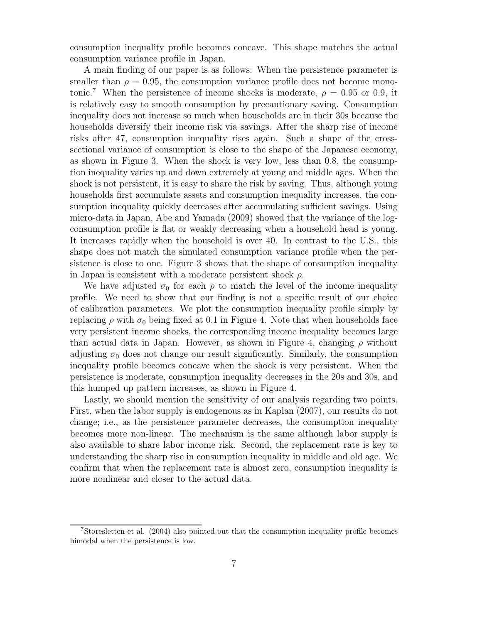consumption inequality profile becomes concave. This shape matches the actual consumption variance profile in Japan.

A main finding of our paper is as follows: When the persistence parameter is smaller than  $\rho = 0.95$ , the consumption variance profile does not become monotonic.<sup>7</sup> When the persistence of income shocks is moderate,  $\rho = 0.95$  or 0.9, it is relatively easy to smooth consumption by precautionary saving. Consumption inequality does not increase so much when households are in their 30s because the households diversify their income risk via savings. After the sharp rise of income risks after 47, consumption inequality rises again. Such a shape of the crosssectional variance of consumption is close to the shape of the Japanese economy, as shown in Figure 3. When the shock is very low, less than 0.8, the consumption inequality varies up and down extremely at young and middle ages. When the shock is not persistent, it is easy to share the risk by saving. Thus, although young households first accumulate assets and consumption inequality increases, the consumption inequality quickly decreases after accumulating sufficient savings. Using micro-data in Japan, Abe and Yamada (2009) showed that the variance of the logconsumption profile is flat or weakly decreasing when a household head is young. It increases rapidly when the household is over 40. In contrast to the U.S., this shape does not match the simulated consumption variance profile when the persistence is close to one. Figure 3 shows that the shape of consumption inequality in Japan is consistent with a moderate persistent shock  $\rho$ .

We have adjusted  $\sigma_0$  for each  $\rho$  to match the level of the income inequality profile. We need to show that our finding is not a specific result of our choice of calibration parameters. We plot the consumption inequality profile simply by replacing  $\rho$  with  $\sigma_0$  being fixed at 0.1 in Figure 4. Note that when households face very persistent income shocks, the corresponding income inequality becomes large than actual data in Japan. However, as shown in Figure 4, changing  $\rho$  without adjusting  $\sigma_0$  does not change our result significantly. Similarly, the consumption inequality profile becomes concave when the shock is very persistent. When the persistence is moderate, consumption inequality decreases in the 20s and 30s, and this humped up pattern increases, as shown in Figure 4.

Lastly, we should mention the sensitivity of our analysis regarding two points. First, when the labor supply is endogenous as in Kaplan (2007), our results do not change; i.e., as the persistence parameter decreases, the consumption inequality becomes more non-linear. The mechanism is the same although labor supply is also available to share labor income risk. Second, the replacement rate is key to understanding the sharp rise in consumption inequality in middle and old age. We confirm that when the replacement rate is almost zero, consumption inequality is more nonlinear and closer to the actual data.

<sup>7</sup>Storesletten et al. (2004) also pointed out that the consumption inequality profile becomes bimodal when the persistence is low.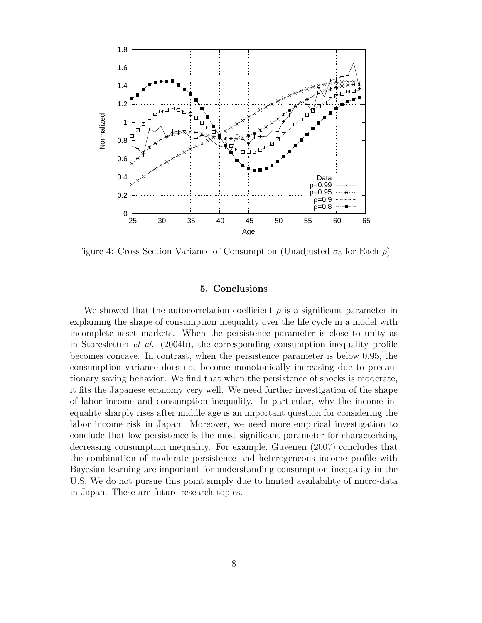

Figure 4: Cross Section Variance of Consumption (Unadjusted  $\sigma_0$  for Each  $\rho$ )

#### **5. Conclusions**

We showed that the autocorrelation coefficient  $\rho$  is a significant parameter in explaining the shape of consumption inequality over the life cycle in a model with incomplete asset markets. When the persistence parameter is close to unity as in Storesletten *et al.* (2004b), the corresponding consumption inequality profile becomes concave. In contrast, when the persistence parameter is below 0.95, the consumption variance does not become monotonically increasing due to precautionary saving behavior. We find that when the persistence of shocks is moderate, it fits the Japanese economy very well. We need further investigation of the shape of labor income and consumption inequality. In particular, why the income inequality sharply rises after middle age is an important question for considering the labor income risk in Japan. Moreover, we need more empirical investigation to conclude that low persistence is the most significant parameter for characterizing decreasing consumption inequality. For example, Guvenen (2007) concludes that the combination of moderate persistence and heterogeneous income profile with Bayesian learning are important for understanding consumption inequality in the U.S. We do not pursue this point simply due to limited availability of micro-data in Japan. These are future research topics.